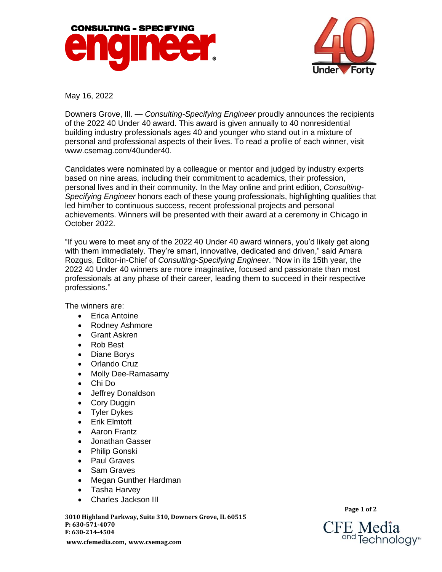



May 16, 2022

Downers Grove, Ill. — *Consulting-Specifying Engineer* proudly announces the recipients of the 2022 40 Under 40 award. This award is given annually to 40 nonresidential building industry professionals ages 40 and younger who stand out in a mixture of personal and professional aspects of their lives. To read a profile of each winner, visit [www.csemag.com/40under40.](https://www.csemag.com/events-and-awards/40-under-40)

Candidates were nominated by a colleague or mentor and judged by industry experts based on nine areas, including their commitment to academics, their profession, personal lives and in their community. In the May online and print edition, *Consulting-Specifying Engineer* honors each of these young professionals, highlighting qualities that led him/her to continuous success, recent professional projects and personal achievements. Winners will be presented with their award at a ceremony in Chicago in October 2022.

"If you were to meet any of the 2022 40 Under 40 award winners, you'd likely get along with them immediately. They're smart, innovative, dedicated and driven," said Amara Rozgus, Editor-in-Chief of *Consulting-Specifying Engineer*. "Now in its 15th year, the 2022 40 Under 40 winners are more imaginative, focused and passionate than most professionals at any phase of their career, leading them to succeed in their respective professions."

The winners are:

- Erica Antoine
- Rodney Ashmore
- Grant Askren
- Rob Best
- Diane Borys
- Orlando Cruz
- Molly Dee-Ramasamy
- Chi Do
- Jeffrey Donaldson
- Cory Duggin
- Tyler Dykes
- Erik Elmtoft
- Aaron Frantz
- Jonathan Gasser
- Philip Gonski
- Paul Graves
- Sam Graves
- Megan Gunther Hardman
- Tasha Harvey
- Charles Jackson III

**3010 Highland Parkway, Suite 310, Downers Grove, IL 60515 P: 630-571-4070 F: 630-214-4504 [www.cfemedia.com](http://www.cfemedia.com/)**, **[www.csemag.com](http://www.csemag.com/)**

**Page 1 of 2**